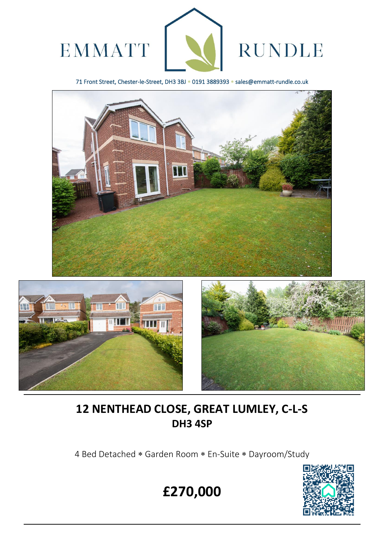

71 Front Street, Chester-le-Street, DH3 3BJ \* 0191 3889393 \* sales@emmatt-rundle.co.uk





 $\overline{a}$ 



# **12 NENTHEAD CLOSE, GREAT LUMLEY, C-L-S DH3 4SP**

4 Bed Detached \* Garden Room \* En-Suite \* Dayroom/Study



**£270,000**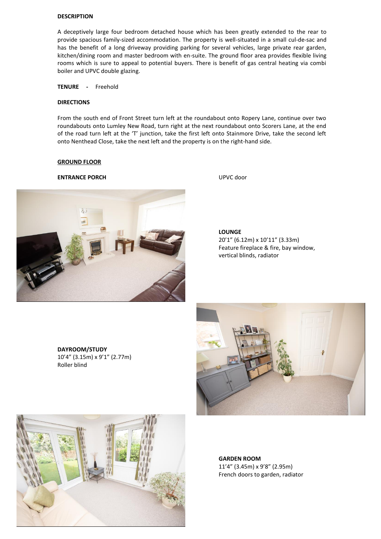#### **DESCRIPTION**

A deceptively large four bedroom detached house which has been greatly extended to the rear to provide spacious family-sized accommodation. The property is well-situated in a small cul-de-sac and has the benefit of a long driveway providing parking for several vehicles, large private rear garden, kitchen/dining room and master bedroom with en-suite. The ground floor area provides flexible living rooms which is sure to appeal to potential buyers. There is benefit of gas central heating via combi boiler and UPVC double glazing.

**TENURE -** Freehold

#### **DIRECTIONS**

From the south end of Front Street turn left at the roundabout onto Ropery Lane, continue over two roundabouts onto Lumley New Road, turn right at the next roundabout onto Scorers Lane, at the end of the road turn left at the 'T' junction, take the first left onto Stainmore Drive, take the second left onto Nenthead Close, take the next left and the property is on the right-hand side.

#### **GROUND FLOOR**

#### **ENTRANCE PORCH** UPVC door



**LOUNGE**  20'1" (6.12m) x 10'11" (3.33m) Feature fireplace & fire, bay window, vertical blinds, radiator

**DAYROOM/STUDY**  10'4" (3.15m) x 9'1" (2.77m) Roller blind





**GARDEN ROOM** 11'4" (3.45m) x 9'8" (2.95m) French doors to garden, radiator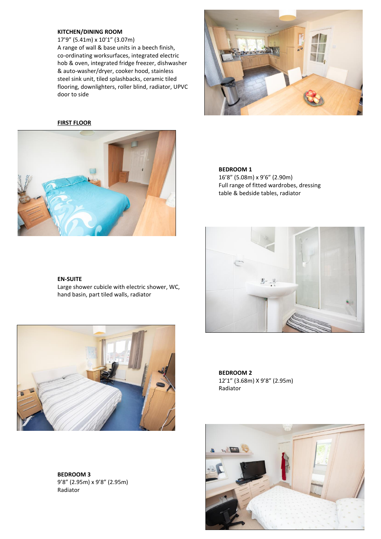### **KITCHEN/DINING ROOM**

17'9" (5.41m) x 10'1" (3.07m) A range of wall & base units in a beech finish, co-ordinating worksurfaces, integrated electric hob & oven, integrated fridge freezer, dishwasher & auto-washer/dryer, cooker hood, stainless steel sink unit, tiled splashbacks, ceramic tiled flooring, downlighters, roller blind, radiator, UPVC door to side

## **FIRST FLOOR**





#### **BEDROOM 1**

16'8" (5.08m) x 9'6" (2.90m) Full range of fitted wardrobes, dressing table & bedside tables, radiator



Large shower cubicle with electric shower, WC, hand basin, part tiled walls, radiator



**BEDROOM 3** 9'8" (2.95m) x 9'8" (2.95m) Radiator



**BEDROOM 2** 12'1" (3.68m) X 9'8" (2.95m) Radiator